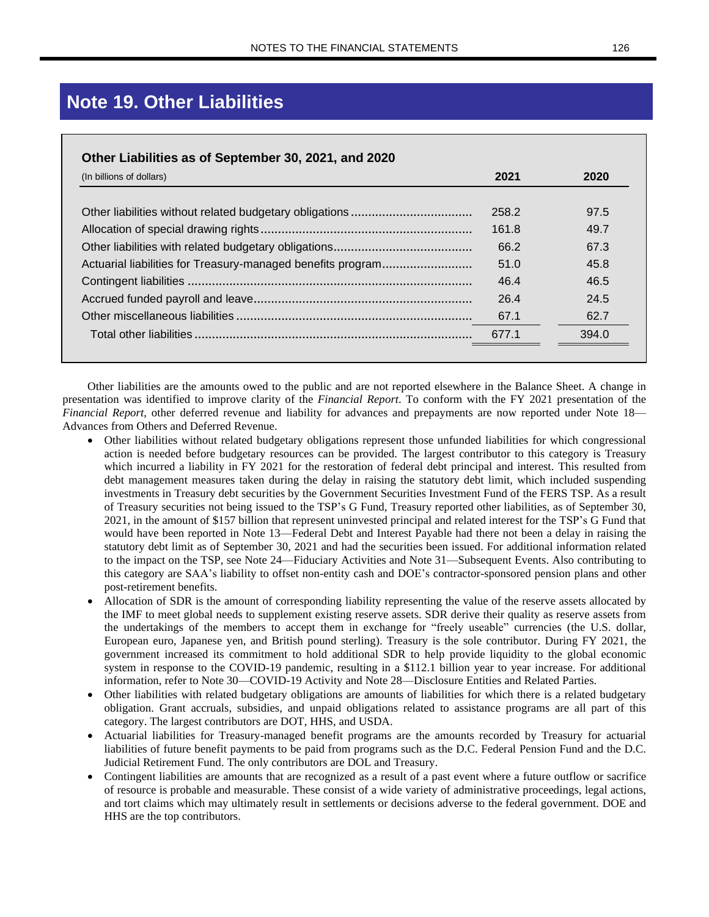## **Note 19. Other Liabilities**

| (In billions of dollars) | 2021  | 2020  |
|--------------------------|-------|-------|
|                          | 258.2 | 97.5  |
|                          | 161.8 | 49.7  |
|                          | 66.2  | 67.3  |
|                          | 51.0  | 45.8  |
|                          | 46.4  | 46.5  |
|                          | 26.4  | 24.5  |
|                          | 67.1  | 62.7  |
|                          | 677.1 | 394.0 |

Other liabilities are the amounts owed to the public and are not reported elsewhere in the Balance Sheet. A change in presentation was identified to improve clarity of the *Financial Report*. To conform with the FY 2021 presentation of the *Financial Report*, other deferred revenue and liability for advances and prepayments are now reported under Note 18— Advances from Others and Deferred Revenue.

- Other liabilities without related budgetary obligations represent those unfunded liabilities for which congressional action is needed before budgetary resources can be provided. The largest contributor to this category is Treasury which incurred a liability in FY 2021 for the restoration of federal debt principal and interest. This resulted from debt management measures taken during the delay in raising the statutory debt limit, which included suspending investments in Treasury debt securities by the Government Securities Investment Fund of the FERS TSP. As a result of Treasury securities not being issued to the TSP's G Fund, Treasury reported other liabilities, as of September 30, 2021, in the amount of \$157 billion that represent uninvested principal and related interest for the TSP's G Fund that would have been reported in Note 13—Federal Debt and Interest Payable had there not been a delay in raising the statutory debt limit as of September 30, 2021 and had the securities been issued. For additional information related to the impact on the TSP, see Note 24—Fiduciary Activities and Note 31—Subsequent Events. Also contributing to this category are SAA's liability to offset non-entity cash and DOE's contractor-sponsored pension plans and other post-retirement benefits.
- Allocation of SDR is the amount of corresponding liability representing the value of the reserve assets allocated by the IMF to meet global needs to supplement existing reserve assets. SDR derive their quality as reserve assets from the undertakings of the members to accept them in exchange for "freely useable" currencies (the U.S. dollar, European euro, Japanese yen, and British pound sterling). Treasury is the sole contributor. During FY 2021, the government increased its commitment to hold additional SDR to help provide liquidity to the global economic system in response to the COVID-19 pandemic, resulting in a \$112.1 billion year to year increase. For additional information, refer to Note 30—COVID-19 Activity and Note 28—Disclosure Entities and Related Parties.
- Other liabilities with related budgetary obligations are amounts of liabilities for which there is a related budgetary obligation. Grant accruals, subsidies, and unpaid obligations related to assistance programs are all part of this category. The largest contributors are DOT, HHS, and USDA.
- Actuarial liabilities for Treasury-managed benefit programs are the amounts recorded by Treasury for actuarial liabilities of future benefit payments to be paid from programs such as the D.C. Federal Pension Fund and the D.C. Judicial Retirement Fund. The only contributors are DOL and Treasury.
- Contingent liabilities are amounts that are recognized as a result of a past event where a future outflow or sacrifice of resource is probable and measurable. These consist of a wide variety of administrative proceedings, legal actions, and tort claims which may ultimately result in settlements or decisions adverse to the federal government. DOE and HHS are the top contributors.